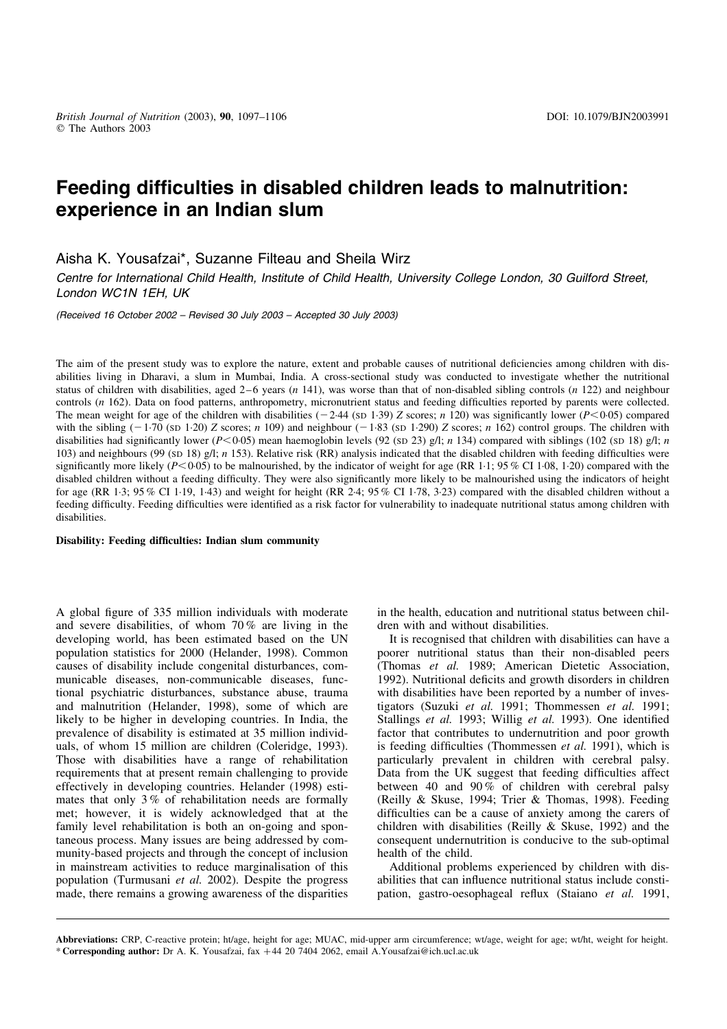# Feeding difficulties in disabled children leads to malnutrition: experience in an Indian slum

Aisha K. Yousafzai\*, Suzanne Filteau and Sheila Wirz

Centre for International Child Health, Institute of Child Health, University College London, 30 Guilford Street, London WC1N 1EH, UK

(Received 16 October 2002 – Revised 30 July 2003 – Accepted 30 July 2003)

The aim of the present study was to explore the nature, extent and probable causes of nutritional deficiencies among children with disabilities living in Dharavi, a slum in Mumbai, India. A cross-sectional study was conducted to investigate whether the nutritional status of children with disabilities, aged  $2-6$  years (n 141), was worse than that of non-disabled sibling controls (n 122) and neighbour controls (n 162). Data on food patterns, anthropometry, micronutrient status and feeding difficulties reported by parents were collected. The mean weight for age of the children with disabilities  $(-2.44 \text{ (sD 1.39)} Z$  scores; n 120) was significantly lower  $(P<0.05)$  compared with the sibling  $(-1.70 \text{ (sD 1.20)} Z$  scores; n 109) and neighbour  $(-1.83 \text{ (sD 1.290)} Z$  scores; n 162) control groups. The children with disabilities had significantly lower (P<0.05) mean haemoglobin levels (92 (sp 23) g/l; n 134) compared with siblings (102 (sp 18) g/l; n 103) and neighbours (99 (sp 18)  $g/l$ ; n 153). Relative risk (RR) analysis indicated that the disabled children with feeding difficulties were significantly more likely ( $P < 0.05$ ) to be malnourished, by the indicator of weight for age (RR 1.1; 95 % CI 1.08, 1.20) compared with the disabled children without a feeding difficulty. They were also significantly more likely to be malnourished using the indicators of height for age (RR 1·3; 95 % CI 1·19, 1·43) and weight for height (RR 2·4; 95 % CI 1·78, 3·23) compared with the disabled children without a feeding difficulty. Feeding difficulties were identified as a risk factor for vulnerability to inadequate nutritional status among children with disabilities.

#### Disability: Feeding difficulties: Indian slum community

A global figure of 335 million individuals with moderate and severe disabilities, of whom 70 % are living in the developing world, has been estimated based on the UN population statistics for 2000 (Helander, 1998). Common causes of disability include congenital disturbances, communicable diseases, non-communicable diseases, functional psychiatric disturbances, substance abuse, trauma and malnutrition (Helander, 1998), some of which are likely to be higher in developing countries. In India, the prevalence of disability is estimated at 35 million individuals, of whom 15 million are children (Coleridge, 1993). Those with disabilities have a range of rehabilitation requirements that at present remain challenging to provide effectively in developing countries. Helander (1998) estimates that only 3 % of rehabilitation needs are formally met; however, it is widely acknowledged that at the family level rehabilitation is both an on-going and spontaneous process. Many issues are being addressed by community-based projects and through the concept of inclusion in mainstream activities to reduce marginalisation of this population (Turmusani et al. 2002). Despite the progress made, there remains a growing awareness of the disparities

in the health, education and nutritional status between children with and without disabilities.

It is recognised that children with disabilities can have a poorer nutritional status than their non-disabled peers (Thomas et al. 1989; American Dietetic Association, 1992). Nutritional deficits and growth disorders in children with disabilities have been reported by a number of investigators (Suzuki et al. 1991; Thommessen et al. 1991; Stallings et al. 1993; Willig et al. 1993). One identified factor that contributes to undernutrition and poor growth is feeding difficulties (Thommessen et al. 1991), which is particularly prevalent in children with cerebral palsy. Data from the UK suggest that feeding difficulties affect between 40 and 90 % of children with cerebral palsy (Reilly & Skuse, 1994; Trier & Thomas, 1998). Feeding difficulties can be a cause of anxiety among the carers of children with disabilities (Reilly & Skuse, 1992) and the consequent undernutrition is conducive to the sub-optimal health of the child.

Additional problems experienced by children with disabilities that can influence nutritional status include constipation, gastro-oesophageal reflux (Staiano et al. 1991,

<sup>\*</sup> Corresponding author: Dr A. K. Yousafzai, fax +44 20 7404 2062, email A.Yousafzai@ich.ucl.ac.uk Abbreviations: CRP, C-reactive protein; ht/age, height for age; MUAC, mid-upper arm circumference; wt/age, weight for age; wt/ht, weight for height.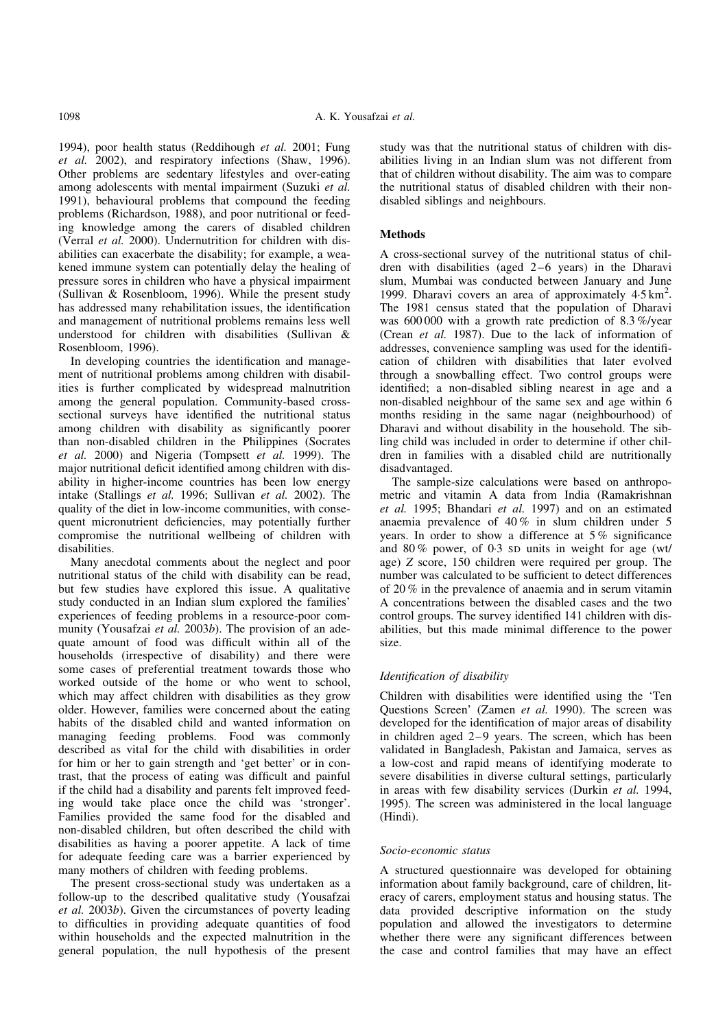1994), poor health status (Reddihough et al. 2001; Fung et al. 2002), and respiratory infections (Shaw, 1996). Other problems are sedentary lifestyles and over-eating among adolescents with mental impairment (Suzuki et al. 1991), behavioural problems that compound the feeding problems (Richardson, 1988), and poor nutritional or feeding knowledge among the carers of disabled children (Verral et al. 2000). Undernutrition for children with disabilities can exacerbate the disability; for example, a weakened immune system can potentially delay the healing of pressure sores in children who have a physical impairment (Sullivan & Rosenbloom, 1996). While the present study has addressed many rehabilitation issues, the identification and management of nutritional problems remains less well understood for children with disabilities (Sullivan & Rosenbloom, 1996).

In developing countries the identification and management of nutritional problems among children with disabilities is further complicated by widespread malnutrition among the general population. Community-based crosssectional surveys have identified the nutritional status among children with disability as significantly poorer than non-disabled children in the Philippines (Socrates et al. 2000) and Nigeria (Tompsett et al. 1999). The major nutritional deficit identified among children with disability in higher-income countries has been low energy intake (Stallings et al. 1996; Sullivan et al. 2002). The quality of the diet in low-income communities, with consequent micronutrient deficiencies, may potentially further compromise the nutritional wellbeing of children with disabilities.

Many anecdotal comments about the neglect and poor nutritional status of the child with disability can be read, but few studies have explored this issue. A qualitative study conducted in an Indian slum explored the families' experiences of feeding problems in a resource-poor community (Yousafzai et al. 2003b). The provision of an adequate amount of food was difficult within all of the households (irrespective of disability) and there were some cases of preferential treatment towards those who worked outside of the home or who went to school, which may affect children with disabilities as they grow older. However, families were concerned about the eating habits of the disabled child and wanted information on managing feeding problems. Food was commonly described as vital for the child with disabilities in order for him or her to gain strength and 'get better' or in contrast, that the process of eating was difficult and painful if the child had a disability and parents felt improved feeding would take place once the child was 'stronger'. Families provided the same food for the disabled and non-disabled children, but often described the child with disabilities as having a poorer appetite. A lack of time for adequate feeding care was a barrier experienced by many mothers of children with feeding problems.

The present cross-sectional study was undertaken as a follow-up to the described qualitative study (Yousafzai et al. 2003b). Given the circumstances of poverty leading to difficulties in providing adequate quantities of food within households and the expected malnutrition in the general population, the null hypothesis of the present

study was that the nutritional status of children with disabilities living in an Indian slum was not different from that of children without disability. The aim was to compare the nutritional status of disabled children with their nondisabled siblings and neighbours.

# Methods

A cross-sectional survey of the nutritional status of children with disabilities (aged 2–6 years) in the Dharavi slum, Mumbai was conducted between January and June 1999. Dharavi covers an area of approximately  $4.5 \text{ km}^2$ . The 1981 census stated that the population of Dharavi was 600 000 with a growth rate prediction of 8.3 %/year (Crean et al. 1987). Due to the lack of information of addresses, convenience sampling was used for the identification of children with disabilities that later evolved through a snowballing effect. Two control groups were identified; a non-disabled sibling nearest in age and a non-disabled neighbour of the same sex and age within 6 months residing in the same nagar (neighbourhood) of Dharavi and without disability in the household. The sibling child was included in order to determine if other children in families with a disabled child are nutritionally disadvantaged.

The sample-size calculations were based on anthropometric and vitamin A data from India (Ramakrishnan et al. 1995; Bhandari et al. 1997) and on an estimated anaemia prevalence of 40 % in slum children under 5 years. In order to show a difference at 5 % significance and 80 % power, of 0·3 SD units in weight for age (wt/ age) Z score, 150 children were required per group. The number was calculated to be sufficient to detect differences of 20 % in the prevalence of anaemia and in serum vitamin A concentrations between the disabled cases and the two control groups. The survey identified 141 children with disabilities, but this made minimal difference to the power size.

# Identification of disability

Children with disabilities were identified using the 'Ten Questions Screen' (Zamen et al. 1990). The screen was developed for the identification of major areas of disability in children aged 2–9 years. The screen, which has been validated in Bangladesh, Pakistan and Jamaica, serves as a low-cost and rapid means of identifying moderate to severe disabilities in diverse cultural settings, particularly in areas with few disability services (Durkin et al. 1994, 1995). The screen was administered in the local language (Hindi).

# Socio-economic status

A structured questionnaire was developed for obtaining information about family background, care of children, literacy of carers, employment status and housing status. The data provided descriptive information on the study population and allowed the investigators to determine whether there were any significant differences between the case and control families that may have an effect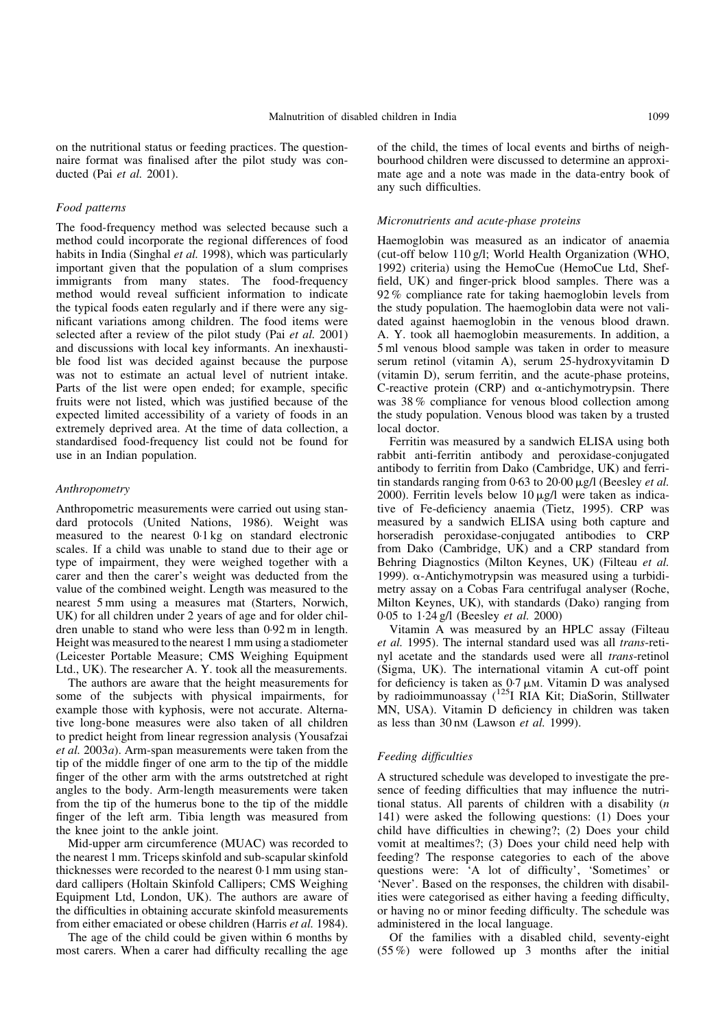on the nutritional status or feeding practices. The questionnaire format was finalised after the pilot study was conducted (Pai et al. 2001).

# Food patterns

The food-frequency method was selected because such a method could incorporate the regional differences of food habits in India (Singhal et al. 1998), which was particularly important given that the population of a slum comprises immigrants from many states. The food-frequency method would reveal sufficient information to indicate the typical foods eaten regularly and if there were any significant variations among children. The food items were selected after a review of the pilot study (Pai et al. 2001) and discussions with local key informants. An inexhaustible food list was decided against because the purpose was not to estimate an actual level of nutrient intake. Parts of the list were open ended; for example, specific fruits were not listed, which was justified because of the expected limited accessibility of a variety of foods in an extremely deprived area. At the time of data collection, a standardised food-frequency list could not be found for use in an Indian population.

#### Anthropometry

Anthropometric measurements were carried out using standard protocols (United Nations, 1986). Weight was measured to the nearest 0·1 kg on standard electronic scales. If a child was unable to stand due to their age or type of impairment, they were weighed together with a carer and then the carer's weight was deducted from the value of the combined weight. Length was measured to the nearest 5 mm using a measures mat (Starters, Norwich, UK) for all children under 2 years of age and for older children unable to stand who were less than 0·92 m in length. Height was measured to the nearest 1 mm using a stadiometer (Leicester Portable Measure; CMS Weighing Equipment Ltd., UK). The researcher A. Y. took all the measurements.

The authors are aware that the height measurements for some of the subjects with physical impairments, for example those with kyphosis, were not accurate. Alternative long-bone measures were also taken of all children to predict height from linear regression analysis (Yousafzai et al. 2003a). Arm-span measurements were taken from the tip of the middle finger of one arm to the tip of the middle finger of the other arm with the arms outstretched at right angles to the body. Arm-length measurements were taken from the tip of the humerus bone to the tip of the middle finger of the left arm. Tibia length was measured from the knee joint to the ankle joint.

Mid-upper arm circumference (MUAC) was recorded to the nearest 1 mm. Triceps skinfold and sub-scapular skinfold thicknesses were recorded to the nearest 0·1 mm using standard callipers (Holtain Skinfold Callipers; CMS Weighing Equipment Ltd, London, UK). The authors are aware of the difficulties in obtaining accurate skinfold measurements from either emaciated or obese children (Harris et al. 1984).

The age of the child could be given within 6 months by most carers. When a carer had difficulty recalling the age of the child, the times of local events and births of neighbourhood children were discussed to determine an approximate age and a note was made in the data-entry book of any such difficulties.

#### Micronutrients and acute-phase proteins

Haemoglobin was measured as an indicator of anaemia (cut-off below 110 g/l; World Health Organization (WHO, 1992) criteria) using the HemoCue (HemoCue Ltd, Sheffield, UK) and finger-prick blood samples. There was a 92 % compliance rate for taking haemoglobin levels from the study population. The haemoglobin data were not validated against haemoglobin in the venous blood drawn. A. Y. took all haemoglobin measurements. In addition, a 5 ml venous blood sample was taken in order to measure serum retinol (vitamin A), serum 25-hydroxyvitamin D (vitamin D), serum ferritin, and the acute-phase proteins, C-reactive protein (CRP) and  $\alpha$ -antichymotrypsin. There was 38 % compliance for venous blood collection among the study population. Venous blood was taken by a trusted local doctor.

Ferritin was measured by a sandwich ELISA using both rabbit anti-ferritin antibody and peroxidase-conjugated antibody to ferritin from Dako (Cambridge, UK) and ferritin standards ranging from  $0.63$  to  $20.00 \mu g/l$  (Beesley *et al.*) 2000). Ferritin levels below  $10 \mu g/l$  were taken as indicative of Fe-deficiency anaemia (Tietz, 1995). CRP was measured by a sandwich ELISA using both capture and horseradish peroxidase-conjugated antibodies to CRP from Dako (Cambridge, UK) and a CRP standard from Behring Diagnostics (Milton Keynes, UK) (Filteau et al. 1999).  $\alpha$ -Antichymotrypsin was measured using a turbidimetry assay on a Cobas Fara centrifugal analyser (Roche, Milton Keynes, UK), with standards (Dako) ranging from 0·05 to 1·24 g/l (Beesley et al. 2000)

Vitamin A was measured by an HPLC assay (Filteau et al. 1995). The internal standard used was all trans-retinyl acetate and the standards used were all trans-retinol (Sigma, UK). The international vitamin A cut-off point for deficiency is taken as  $0.7 \mu$ M. Vitamin D was analysed by radioimmunoassay (<sup>125</sup>I RIA Kit; DiaSorin, Stillwater MN, USA). Vitamin D deficiency in children was taken as less than 30 nM (Lawson et al. 1999).

#### Feeding difficulties

A structured schedule was developed to investigate the presence of feeding difficulties that may influence the nutritional status. All parents of children with a disability  $(n)$ 141) were asked the following questions: (1) Does your child have difficulties in chewing?; (2) Does your child vomit at mealtimes?; (3) Does your child need help with feeding? The response categories to each of the above questions were: 'A lot of difficulty', 'Sometimes' or 'Never'. Based on the responses, the children with disabilities were categorised as either having a feeding difficulty, or having no or minor feeding difficulty. The schedule was administered in the local language.

Of the families with a disabled child, seventy-eight (55 %) were followed up 3 months after the initial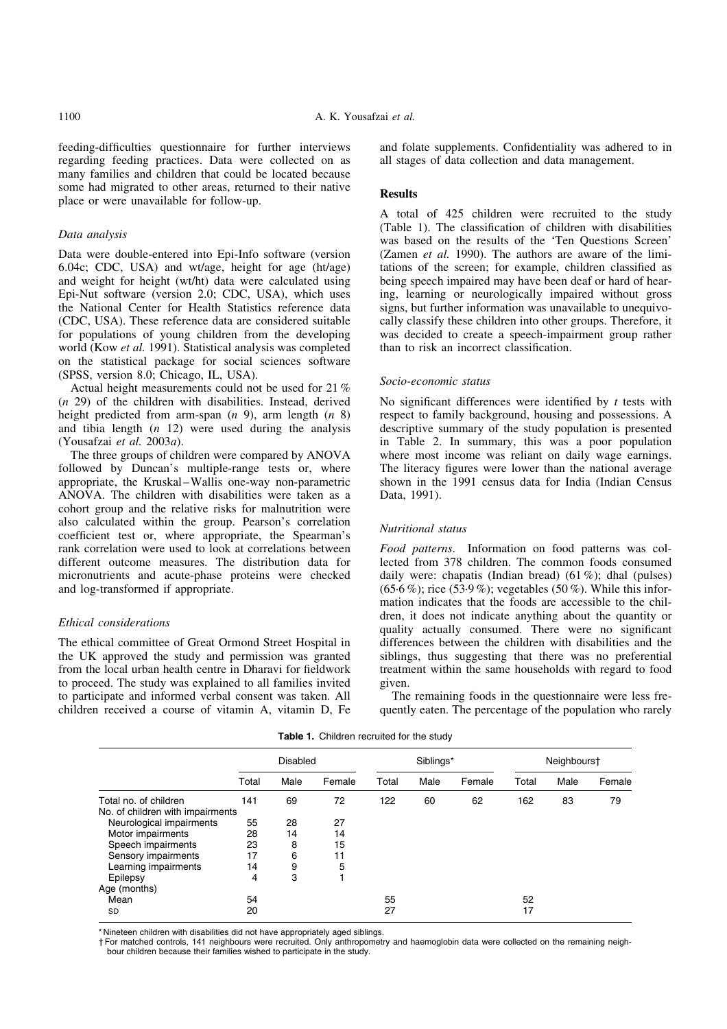<span id="page-3-0"></span>feeding-difficulties questionnaire for further interviews regarding feeding practices. Data were collected on as many families and children that could be located because some had migrated to other areas, returned to their native place or were unavailable for follow-up.

#### Data analysis

Data were double-entered into Epi-Info software (version 6.04c; CDC, USA) and wt/age, height for age (ht/age) and weight for height (wt/ht) data were calculated using Epi-Nut software (version 2.0; CDC, USA), which uses the National Center for Health Statistics reference data (CDC, USA). These reference data are considered suitable for populations of young children from the developing world (Kow et al. 1991). Statistical analysis was completed on the statistical package for social sciences software (SPSS, version 8.0; Chicago, IL, USA).

Actual height measurements could not be used for 21 %  $(n, 29)$  of the children with disabilities. Instead, derived height predicted from arm-span  $(n, 9)$ , arm length  $(n, 8)$ and tibia length  $(n \ 12)$  were used during the analysis (Yousafzai et al. 2003a).

The three groups of children were compared by ANOVA followed by Duncan's multiple-range tests or, where appropriate, the Kruskal–Wallis one-way non-parametric ANOVA. The children with disabilities were taken as a cohort group and the relative risks for malnutrition were also calculated within the group. Pearson's correlation coefficient test or, where appropriate, the Spearman's rank correlation were used to look at correlations between different outcome measures. The distribution data for micronutrients and acute-phase proteins were checked and log-transformed if appropriate.

#### Ethical considerations

The ethical committee of Great Ormond Street Hospital in the UK approved the study and permission was granted from the local urban health centre in Dharavi for fieldwork to proceed. The study was explained to all families invited to participate and informed verbal consent was taken. All children received a course of vitamin A, vitamin D, Fe

and folate supplements. Confidentiality was adhered to in all stages of data collection and data management.

### Results

A total of 425 children were recruited to the study (Table 1). The classification of children with disabilities was based on the results of the 'Ten Questions Screen' (Zamen et al. 1990). The authors are aware of the limitations of the screen; for example, children classified as being speech impaired may have been deaf or hard of hearing, learning or neurologically impaired without gross signs, but further information was unavailable to unequivocally classify these children into other groups. Therefore, it was decided to create a speech-impairment group rather than to risk an incorrect classification.

# Socio-economic status

No significant differences were identified by  $t$  tests with respect to family background, housing and possessions. A descriptive summary of the study population is presented in [Table 2.](#page-4-0) In summary, this was a poor population where most income was reliant on daily wage earnings. The literacy figures were lower than the national average shown in the 1991 census data for India (Indian Census Data, 1991).

# Nutritional status

Food patterns. Information on food patterns was collected from 378 children. The common foods consumed daily were: chapatis (Indian bread) (61 %); dhal (pulses)  $(65.6\%)$ ; rice  $(53.9\%)$ ; vegetables  $(50\%)$ . While this information indicates that the foods are accessible to the children, it does not indicate anything about the quantity or quality actually consumed. There were no significant differences between the children with disabilities and the siblings, thus suggesting that there was no preferential treatment within the same households with regard to food given.

The remaining foods in the questionnaire were less frequently eaten. The percentage of the population who rarely

|                                  | <b>Disabled</b> |      | Siblings* |       | Neighbours† |        |       |      |        |
|----------------------------------|-----------------|------|-----------|-------|-------------|--------|-------|------|--------|
|                                  | Total           | Male | Female    | Total | Male        | Female | Total | Male | Female |
| Total no. of children            | 141             | 69   | 72        | 122   | 60          | 62     | 162   | 83   | 79     |
| No. of children with impairments |                 |      |           |       |             |        |       |      |        |
| Neurological impairments         | 55              | 28   | 27        |       |             |        |       |      |        |
| Motor impairments                | 28              | 14   | 14        |       |             |        |       |      |        |
| Speech impairments               | 23              | 8    | 15        |       |             |        |       |      |        |
| Sensory impairments              | 17              | 6    | 11        |       |             |        |       |      |        |
| Learning impairments             | 14              | 9    | 5         |       |             |        |       |      |        |
| Epilepsy                         | 4               | 3    |           |       |             |        |       |      |        |
| Age (months)                     |                 |      |           |       |             |        |       |      |        |
| Mean                             | 54              |      |           | 55    |             |        | 52    |      |        |
| <b>SD</b>                        | 20              |      |           | 27    |             |        | 17    |      |        |

Table 1. Children recruited for the study

\* Nineteen children with disabilities did not have appropriately aged siblings.

† For matched controls, 141 neighbours were recruited. Only anthropometry and haemoglobin data were collected on the remaining neighbour children because their families wished to participate in the study.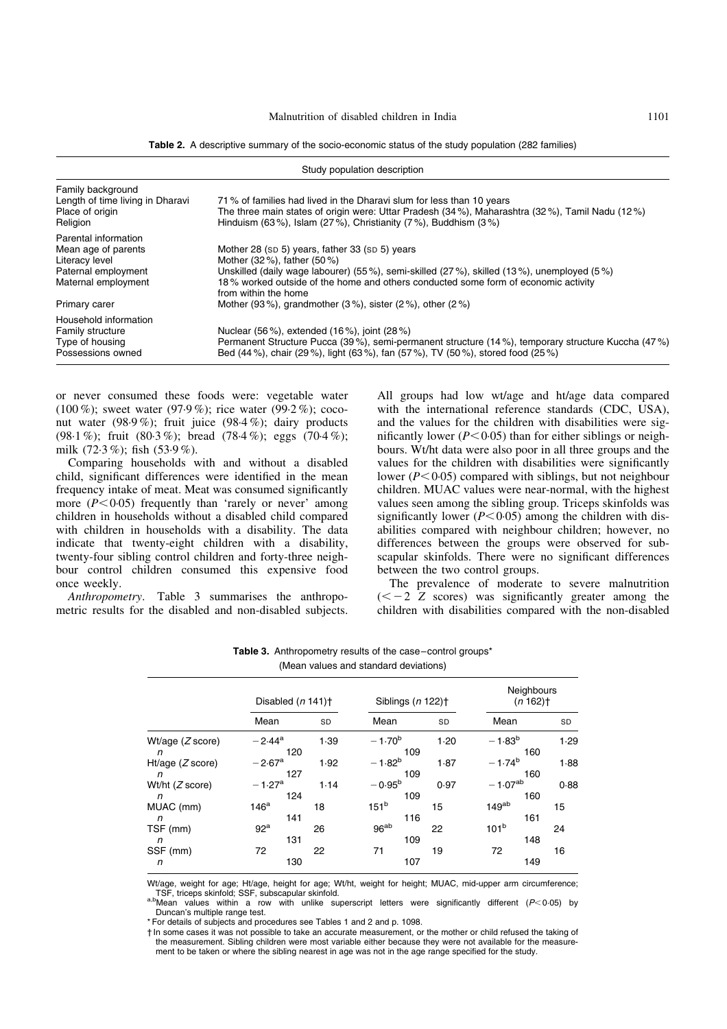Table 2. A descriptive summary of the socio-economic status of the study population (282 families)

<span id="page-4-0"></span>

| Study population description                                                                                                 |                                                                                                                                                                                                                                                                                                                                                                      |  |  |  |  |
|------------------------------------------------------------------------------------------------------------------------------|----------------------------------------------------------------------------------------------------------------------------------------------------------------------------------------------------------------------------------------------------------------------------------------------------------------------------------------------------------------------|--|--|--|--|
| Family background<br>Length of time living in Dharavi<br>Place of origin<br>Religion                                         | 71% of families had lived in the Dharavi slum for less than 10 years<br>The three main states of origin were: Uttar Pradesh (34%), Maharashtra (32%), Tamil Nadu (12%)<br>Hinduism (63%), Islam (27%), Christianity (7%), Buddhism (3%)                                                                                                                              |  |  |  |  |
| Parental information<br>Mean age of parents<br>Literacy level<br>Paternal employment<br>Maternal employment<br>Primary carer | Mother 28 (SD 5) years, father 33 (SD 5) years<br>Mother $(32\%)$ , father $(50\%)$<br>Unskilled (daily wage labourer) (55%), semi-skilled (27%), skilled (13%), unemployed (5%)<br>18% worked outside of the home and others conducted some form of economic activity<br>from within the home<br>Mother (93%), grandmother $(3\%)$ , sister $(2\%)$ , other $(2\%)$ |  |  |  |  |
| Household information<br>Family structure<br>Type of housing<br>Possessions owned                                            | Nuclear (56%), extended (16%), joint (28%)<br>Permanent Structure Pucca (39%), semi-permanent structure (14%), temporary structure Kuccha (47%)<br>Bed (44%), chair (29%), light (63%), fan (57%), TV (50%), stored food (25%)                                                                                                                                       |  |  |  |  |

or never consumed these foods were: vegetable water (100 %); sweet water (97·9 %); rice water (99·2 %); coconut water (98·9 %); fruit juice (98·4 %); dairy products (98·1 %); fruit (80·3 %); bread (78·4 %); eggs (70·4 %); milk (72·3 %); fish (53·9 %).

Comparing households with and without a disabled child, significant differences were identified in the mean frequency intake of meat. Meat was consumed significantly more  $(P<0.05)$  frequently than 'rarely or never' among children in households without a disabled child compared with children in households with a disability. The data indicate that twenty-eight children with a disability, twenty-four sibling control children and forty-three neighbour control children consumed this expensive food once weekly.

Anthropometry. Table 3 summarises the anthropometric results for the disabled and non-disabled subjects. All groups had low wt/age and ht/age data compared with the international reference standards (CDC, USA), and the values for the children with disabilities were significantly lower ( $P<0.05$ ) than for either siblings or neighbours. Wt/ht data were also poor in all three groups and the values for the children with disabilities were significantly lower ( $P < 0.05$ ) compared with siblings, but not neighbour children. MUAC values were near-normal, with the highest values seen among the sibling group. Triceps skinfolds was significantly lower ( $P<0.05$ ) among the children with disabilities compared with neighbour children; however, no differences between the groups were observed for subscapular skinfolds. There were no significant differences between the two control groups.

The prevalence of moderate to severe malnutrition  $(< -2 \times 2 \times 2)$  was significantly greater among the children with disabilities compared with the non-disabled

Table 3. Anthropometry results of the case-control groups<sup>\*</sup> (Mean values and standard deviations)

|                            | Disabled $(n 141)$ <sup>+</sup> |      | Siblings $(n 122)$ <sup>+</sup> |      | Neighbours<br>$(n 162)$ <sup>+</sup> |      |
|----------------------------|---------------------------------|------|---------------------------------|------|--------------------------------------|------|
|                            | Mean                            | SD   | Mean                            | SD   | Mean                                 | SD   |
| $Wt/age$ ( $Z$ score)<br>n | $-2.44^{\rm a}$<br>120          | 1.39 | $-1.70^{b}$<br>109              | 1.20 | $-1.83^{b}$<br>160                   | 1.29 |
| Ht/age (Z score)<br>n      | $-2.67$ <sup>a</sup><br>127     | 1.92 | $-1.82^{b}$<br>109              | 1.87 | $-1.74^{b}$<br>160                   | 1.88 |
| Wt/ht (Z score)<br>n       | $-1.27$ <sup>a</sup><br>124     | 1.14 | $-0.95^b$<br>109                | 0.97 | $-1.07^{ab}$<br>160                  | 0.88 |
| MUAC (mm)<br>n             | $146^a$<br>141                  | 18   | 151 <sup>b</sup><br>116         | 15   | $149^{ab}$<br>161                    | 15   |
| TSF (mm)<br>n              | 92 <sup>a</sup><br>131          | 26   | 96 <sup>ab</sup><br>109         | 22   | 101 <sup>b</sup><br>148              | 24   |
| SSF (mm)<br>n              | 72<br>130                       | 22   | 71<br>107                       | 19   | 72<br>149                            | 16   |

Wt/age, weight for age; Ht/age, height for age; Wt/ht, weight for height; MUAC, mid-upper arm circumference;<br>TSF tricens skinfold: SSF. subscapular skinfold.

TSF, triceps skinfold; SSF, subscapular skinfold. a,bMean values within a row with unlike superscript letters were significantly different (P,0·05) by Duncan's multiple range test.

\* For details of subjects and procedures see [Tables 1](#page-3-0) and 2 and p. 1098.

† In some cases it was not possible to take an accurate measurement, or the mother or child refused the taking of the measurement. Sibling children were most variable either because they were not available for the measurement to be taken or where the sibling nearest in age was not in the age range specified for the study.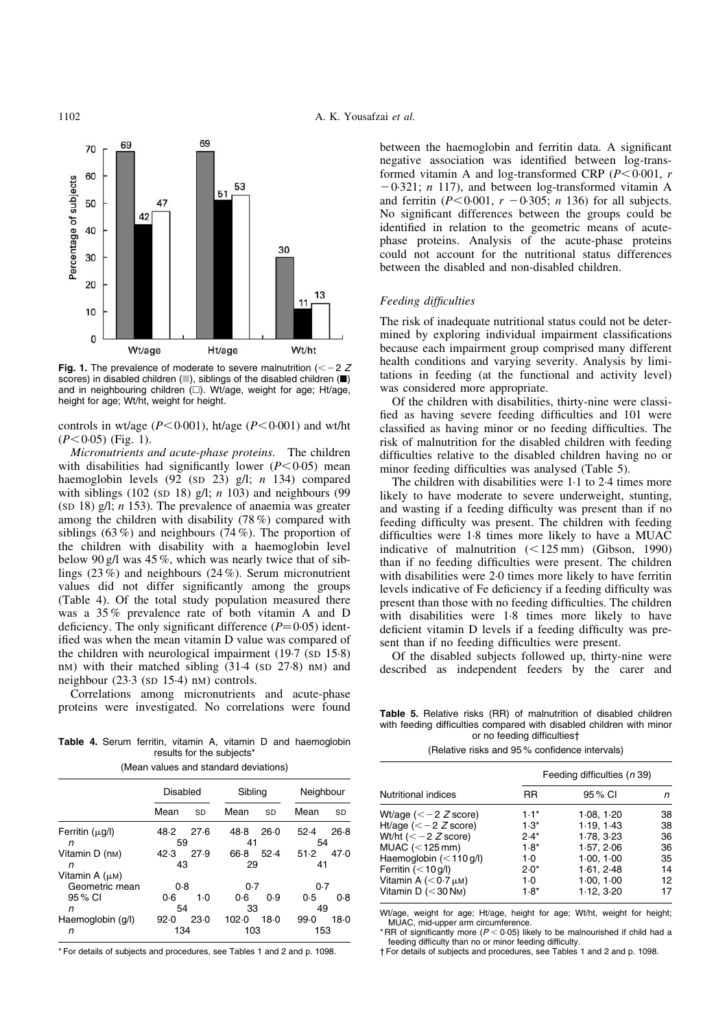

**Fig. 1.** The prevalence of moderate to severe malnutrition  $(< -2 Z$ scores) in disabled children ( $\Box$ ), siblings of the disabled children ( $\Box$ ) and in neighbouring children  $(\square)$ . Wt/age, weight for age; Ht/age, height for age; Wt/ht, weight for height.

controls in wt/age ( $P<0.001$ ), ht/age ( $P<0.001$ ) and wt/ht  $(P<0.05)$  (Fig. 1).

Micronutrients and acute-phase proteins. The children with disabilities had significantly lower  $(P<0.05)$  mean haemoglobin levels  $(92 \text{ (SD } 23) \text{ g/l}; n \text{ 134})$  compared with siblings (102 (SD 18) g/l;  $n$  103) and neighbours (99 (SD 18)  $g/l$ ; *n* 153). The prevalence of anaemia was greater among the children with disability (78 %) compared with siblings  $(63\%)$  and neighbours  $(74\%)$ . The proportion of the children with disability with a haemoglobin level below 90 g/l was 45 %, which was nearly twice that of siblings  $(23\%)$  and neighbours  $(24\%)$ . Serum micronutrient values did not differ significantly among the groups (Table 4). Of the total study population measured there was a 35 % prevalence rate of both vitamin A and D deficiency. The only significant difference  $(P=0.05)$  identified was when the mean vitamin D value was compared of the children with neurological impairment (19·7 (SD 15·8) nM) with their matched sibling (31.4 (SD 27.8) nM) and neighbour (23·3 (SD 15·4) nM) controls.

Correlations among micronutrients and acute-phase proteins were investigated. No correlations were found

Table 4. Serum ferritin, vitamin A, vitamin D and haemoglobin results for the subjects<sup>\*</sup>

| (Mean values and standard deviations) |  |
|---------------------------------------|--|
|---------------------------------------|--|

|                      | Disabled |       | Sibling |      | Neighbour |           |  |
|----------------------|----------|-------|---------|------|-----------|-----------|--|
|                      | Mean     | SD    | Mean    | SD   | Mean      | <b>SD</b> |  |
| Ferritin $(\mu g/l)$ | 48.2     | 27.6  | 48.8    | 26.0 | 52.4      | 26.8      |  |
| n                    |          | 59    |         | 41   |           | 54        |  |
| Vitamin D (nm)       | 42.3     | 27.9  | 66.8    | 52.4 | 51.2      | 47.0      |  |
| n                    | 43       |       | 29      |      | 41        |           |  |
| Vitamin A $(\mu M)$  |          |       |         |      |           |           |  |
| Geometric mean       | 0.8      |       | 0.7     |      | 0.7       |           |  |
| 95 % CI              | 0.6      | $1-0$ | 0.6     | 0.9  | 0.5       | 0.8       |  |
| n                    | 54       |       | 33      |      | 49        |           |  |
| Haemoglobin (g/l)    | 92.0     | 23.0  | 102.0   | 18.0 | 99.0      | 18.0      |  |
| n                    | 134      |       | 103     |      | 153       |           |  |

\* For details of subjects and procedures, se[e Tables 1](#page-3-0) [and 2](#page-4-0) and p. 1098.

between the haemoglobin and ferritin data. A significant negative association was identified between log-transformed vitamin A and log-transformed CRP ( $P < 0.001$ , r  $-0.321$ ; n 117), and between log-transformed vitamin A and ferritin ( $P < 0.001$ ,  $r - 0.305$ ; n 136) for all subjects. No significant differences between the groups could be identified in relation to the geometric means of acutephase proteins. Analysis of the acute-phase proteins could not account for the nutritional status differences between the disabled and non-disabled children.

#### Feeding difficulties

The risk of inadequate nutritional status could not be determined by exploring individual impairment classifications because each impairment group comprised many different health conditions and varying severity. Analysis by limitations in feeding (at the functional and activity level) was considered more appropriate.

Of the children with disabilities, thirty-nine were classified as having severe feeding difficulties and 101 were classified as having minor or no feeding difficulties. The risk of malnutrition for the disabled children with feeding difficulties relative to the disabled children having no or minor feeding difficulties was analysed (Table 5).

The children with disabilities were 1·1 to 2·4 times more likely to have moderate to severe underweight, stunting, and wasting if a feeding difficulty was present than if no feeding difficulty was present. The children with feeding difficulties were 1·8 times more likely to have a MUAC indicative of malnutrition  $(< 125 \text{ mm})$  (Gibson, 1990) than if no feeding difficulties were present. The children with disabilities were 2·0 times more likely to have ferritin levels indicative of Fe deficiency if a feeding difficulty was present than those with no feeding difficulties. The children with disabilities were 1·8 times more likely to have deficient vitamin D levels if a feeding difficulty was present than if no feeding difficulties were present.

Of the disabled subjects followed up, thirty-nine were described as independent feeders by the carer and

Table 5. Relative risks (RR) of malnutrition of disabled children with feeding difficulties compared with disabled children with minor or no feeding difficulties†

| (Relative risks and 95% confidence intervals) |  |  |  |
|-----------------------------------------------|--|--|--|
|-----------------------------------------------|--|--|--|

|                                                                                                                                                                                              | Feeding difficulties (n 39)                                            |                                                                                            |                                        |  |  |
|----------------------------------------------------------------------------------------------------------------------------------------------------------------------------------------------|------------------------------------------------------------------------|--------------------------------------------------------------------------------------------|----------------------------------------|--|--|
| <b>Nutritional indices</b>                                                                                                                                                                   | <b>RR</b>                                                              | 95 % CI                                                                                    | n                                      |  |  |
| Wt/age $(< -2 Z$ score)<br>Ht/age $(< -2 Z$ score)<br>Wt/ht $(< -2 Z \text{ score})$<br>MUAC $(<$ 125 mm)<br>Haemoglobin $(< 110$ g/l)<br>Ferritin $(< 10 q/l)$<br>Vitamin A $(< 0.7 \mu M)$ | $1.1*$<br>$1.3*$<br>$2.4*$<br>$1.8*$<br>1. $\Omega$<br>$2.0*$<br>$1-0$ | 1.08, 1.20<br>1.19.143<br>1.78.3.23<br>1.57, 2.06<br>1.00.1.00<br>1.61, 2.48<br>1.00, 1.00 | 38<br>38<br>36<br>36<br>35<br>14<br>12 |  |  |
| Vitamin D $(<$ 30 N <sub>M</sub> )                                                                                                                                                           | $1.8*$                                                                 | 1.12, 3.20                                                                                 | 17                                     |  |  |

Wt/age, weight for age; Ht/age, height for age; Wt/ht, weight for height; MUAC, mid-upper arm circumference.

\* RR of significantly more ( $P < 0.05$ ) likely to be malnourished if child had a feeding difficulty than no or minor feeding difficulty. † For details of subjects and procedures, see [Tables 1](#page-3-0) [and 2 a](#page-4-0)nd p. 1098.

<span id="page-5-0"></span>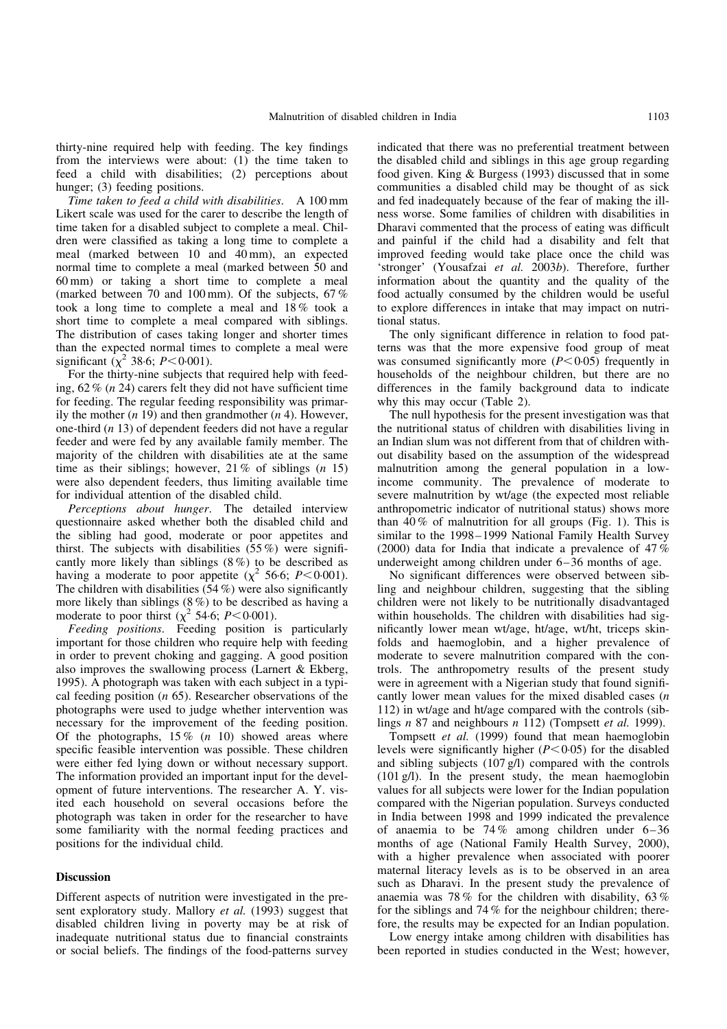thirty-nine required help with feeding. The key findings from the interviews were about: (1) the time taken to feed a child with disabilities; (2) perceptions about hunger; (3) feeding positions.

Time taken to feed a child with disabilities. A 100 mm Likert scale was used for the carer to describe the length of time taken for a disabled subject to complete a meal. Children were classified as taking a long time to complete a meal (marked between 10 and 40 mm), an expected normal time to complete a meal (marked between 50 and 60 mm) or taking a short time to complete a meal (marked between 70 and 100 mm). Of the subjects, 67 % took a long time to complete a meal and 18 % took a short time to complete a meal compared with siblings. The distribution of cases taking longer and shorter times than the expected normal times to complete a meal were significant ( $\chi^2$  38.6; P<0.001).

For the thirty-nine subjects that required help with feeding,  $62\%$  (*n* 24) carers felt they did not have sufficient time for feeding. The regular feeding responsibility was primarily the mother  $(n 19)$  and then grandmother  $(n 4)$ . However, one-third (n 13) of dependent feeders did not have a regular feeder and were fed by any available family member. The majority of the children with disabilities ate at the same time as their siblings; however,  $21\%$  of siblings  $(n\;15)$ were also dependent feeders, thus limiting available time for individual attention of the disabled child.

Perceptions about hunger. The detailed interview questionnaire asked whether both the disabled child and the sibling had good, moderate or poor appetites and thirst. The subjects with disabilities (55 %) were significantly more likely than siblings  $(8\%)$  to be described as having a moderate to poor appetite ( $\chi^2$  56.6; P<0.001). The children with disabilities  $(54\%)$  were also significantly more likely than siblings (8 %) to be described as having a moderate to poor thirst  $(\chi^2 54.6; P < 0.001)$ .

Feeding positions. Feeding position is particularly important for those children who require help with feeding in order to prevent choking and gagging. A good position also improves the swallowing process (Larnert & Ekberg, 1995). A photograph was taken with each subject in a typical feeding position  $(n 65)$ . Researcher observations of the photographs were used to judge whether intervention was necessary for the improvement of the feeding position. Of the photographs,  $15\%$  (n 10) showed areas where specific feasible intervention was possible. These children were either fed lying down or without necessary support. The information provided an important input for the development of future interventions. The researcher A. Y. visited each household on several occasions before the photograph was taken in order for the researcher to have some familiarity with the normal feeding practices and positions for the individual child.

# **Discussion**

Different aspects of nutrition were investigated in the present exploratory study. Mallory *et al.* (1993) suggest that disabled children living in poverty may be at risk of inadequate nutritional status due to financial constraints or social beliefs. The findings of the food-patterns survey

indicated that there was no preferential treatment between the disabled child and siblings in this age group regarding food given. King & Burgess (1993) discussed that in some communities a disabled child may be thought of as sick and fed inadequately because of the fear of making the illness worse. Some families of children with disabilities in Dharavi commented that the process of eating was difficult and painful if the child had a disability and felt that improved feeding would take place once the child was 'stronger' (Yousafzai et al. 2003b). Therefore, further information about the quantity and the quality of the food actually consumed by the children would be useful to explore differences in intake that may impact on nutritional status.

The only significant difference in relation to food patterns was that the more expensive food group of meat was consumed significantly more  $(P<0.05)$  frequently in households of the neighbour children, but there are no differences in the family background data to indicate why this may occur [\(Table 2\).](#page-4-0)

The null hypothesis for the present investigation was that the nutritional status of children with disabilities living in an Indian slum was not different from that of children without disability based on the assumption of the widespread malnutrition among the general population in a lowincome community. The prevalence of moderate to severe malnutrition by wt/age (the expected most reliable anthropometric indicator of nutritional status) shows more than  $40\%$  of malnutrition for all groups [\(Fig. 1\).](#page-5-0) This is similar to the 1998–1999 National Family Health Survey (2000) data for India that indicate a prevalence of 47 % underweight among children under 6–36 months of age.

No significant differences were observed between sibling and neighbour children, suggesting that the sibling children were not likely to be nutritionally disadvantaged within households. The children with disabilities had significantly lower mean wt/age, ht/age, wt/ht, triceps skinfolds and haemoglobin, and a higher prevalence of moderate to severe malnutrition compared with the controls. The anthropometry results of the present study were in agreement with a Nigerian study that found significantly lower mean values for the mixed disabled cases (n 112) in wt/age and ht/age compared with the controls (siblings n 87 and neighbours n 112) (Tompsett et al. 1999).

Tompsett et al. (1999) found that mean haemoglobin levels were significantly higher  $(P<0.05)$  for the disabled and sibling subjects (107 g/l) compared with the controls (101 g/l). In the present study, the mean haemoglobin values for all subjects were lower for the Indian population compared with the Nigerian population. Surveys conducted in India between 1998 and 1999 indicated the prevalence of anaemia to be 74 % among children under 6–36 months of age (National Family Health Survey, 2000), with a higher prevalence when associated with poorer maternal literacy levels as is to be observed in an area such as Dharavi. In the present study the prevalence of anaemia was 78 % for the children with disability, 63 % for the siblings and 74 % for the neighbour children; therefore, the results may be expected for an Indian population.

Low energy intake among children with disabilities has been reported in studies conducted in the West; however,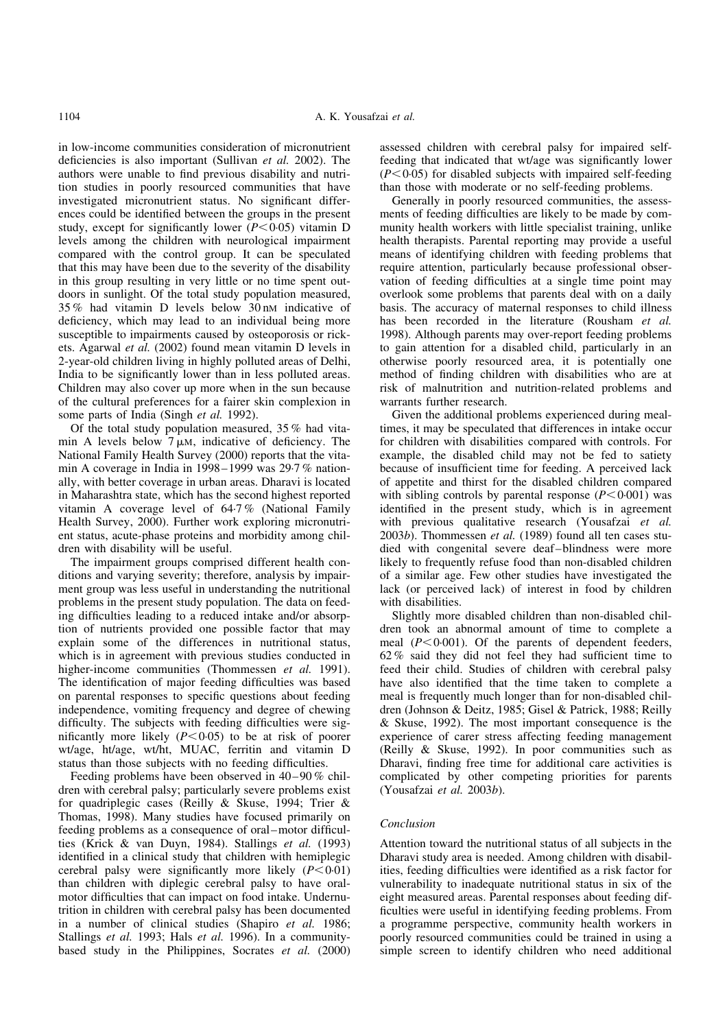in low-income communities consideration of micronutrient deficiencies is also important (Sullivan et al. 2002). The authors were unable to find previous disability and nutrition studies in poorly resourced communities that have investigated micronutrient status. No significant differences could be identified between the groups in the present study, except for significantly lower  $(P<0.05)$  vitamin D levels among the children with neurological impairment compared with the control group. It can be speculated that this may have been due to the severity of the disability in this group resulting in very little or no time spent outdoors in sunlight. Of the total study population measured, 35 % had vitamin D levels below 30 nM indicative of deficiency, which may lead to an individual being more susceptible to impairments caused by osteoporosis or rickets. Agarwal et al. (2002) found mean vitamin D levels in 2-year-old children living in highly polluted areas of Delhi, India to be significantly lower than in less polluted areas. Children may also cover up more when in the sun because of the cultural preferences for a fairer skin complexion in some parts of India (Singh et al. 1992).

Of the total study population measured, 35 % had vitamin A levels below  $7 \mu$ M, indicative of deficiency. The National Family Health Survey (2000) reports that the vitamin A coverage in India in 1998–1999 was 29·7 % nationally, with better coverage in urban areas. Dharavi is located in Maharashtra state, which has the second highest reported vitamin A coverage level of 64·7 % (National Family Health Survey, 2000). Further work exploring micronutrient status, acute-phase proteins and morbidity among children with disability will be useful.

The impairment groups comprised different health conditions and varying severity; therefore, analysis by impairment group was less useful in understanding the nutritional problems in the present study population. The data on feeding difficulties leading to a reduced intake and/or absorption of nutrients provided one possible factor that may explain some of the differences in nutritional status, which is in agreement with previous studies conducted in higher-income communities (Thommessen *et al.* 1991). The identification of major feeding difficulties was based on parental responses to specific questions about feeding independence, vomiting frequency and degree of chewing difficulty. The subjects with feeding difficulties were significantly more likely  $(P<0.05)$  to be at risk of poorer wt/age, ht/age, wt/ht, MUAC, ferritin and vitamin D status than those subjects with no feeding difficulties.

Feeding problems have been observed in 40–90 % children with cerebral palsy; particularly severe problems exist for quadriplegic cases (Reilly & Skuse, 1994; Trier & Thomas, 1998). Many studies have focused primarily on feeding problems as a consequence of oral–motor difficulties (Krick & van Duyn, 1984). Stallings et al. (1993) identified in a clinical study that children with hemiplegic cerebral palsy were significantly more likely  $(P<0.01)$ than children with diplegic cerebral palsy to have oralmotor difficulties that can impact on food intake. Undernutrition in children with cerebral palsy has been documented in a number of clinical studies (Shapiro et al. 1986; Stallings et al. 1993; Hals et al. 1996). In a communitybased study in the Philippines, Socrates et al. (2000)

assessed children with cerebral palsy for impaired selffeeding that indicated that wt/age was significantly lower  $(P<0.05)$  for disabled subjects with impaired self-feeding than those with moderate or no self-feeding problems.

Generally in poorly resourced communities, the assessments of feeding difficulties are likely to be made by community health workers with little specialist training, unlike health therapists. Parental reporting may provide a useful means of identifying children with feeding problems that require attention, particularly because professional observation of feeding difficulties at a single time point may overlook some problems that parents deal with on a daily basis. The accuracy of maternal responses to child illness has been recorded in the literature (Rousham et al. 1998). Although parents may over-report feeding problems to gain attention for a disabled child, particularly in an otherwise poorly resourced area, it is potentially one method of finding children with disabilities who are at risk of malnutrition and nutrition-related problems and warrants further research.

Given the additional problems experienced during mealtimes, it may be speculated that differences in intake occur for children with disabilities compared with controls. For example, the disabled child may not be fed to satiety because of insufficient time for feeding. A perceived lack of appetite and thirst for the disabled children compared with sibling controls by parental response  $(P<0.001)$  was identified in the present study, which is in agreement with previous qualitative research (Yousafzai et al.  $2003b$ . Thommessen *et al.* (1989) found all ten cases studied with congenital severe deaf–blindness were more likely to frequently refuse food than non-disabled children of a similar age. Few other studies have investigated the lack (or perceived lack) of interest in food by children with disabilities.

Slightly more disabled children than non-disabled children took an abnormal amount of time to complete a meal  $(P<0.001)$ . Of the parents of dependent feeders, 62 % said they did not feel they had sufficient time to feed their child. Studies of children with cerebral palsy have also identified that the time taken to complete a meal is frequently much longer than for non-disabled children (Johnson & Deitz, 1985; Gisel & Patrick, 1988; Reilly & Skuse, 1992). The most important consequence is the experience of carer stress affecting feeding management (Reilly & Skuse, 1992). In poor communities such as Dharavi, finding free time for additional care activities is complicated by other competing priorities for parents (Yousafzai et al. 2003b).

# Conclusion

Attention toward the nutritional status of all subjects in the Dharavi study area is needed. Among children with disabilities, feeding difficulties were identified as a risk factor for vulnerability to inadequate nutritional status in six of the eight measured areas. Parental responses about feeding difficulties were useful in identifying feeding problems. From a programme perspective, community health workers in poorly resourced communities could be trained in using a simple screen to identify children who need additional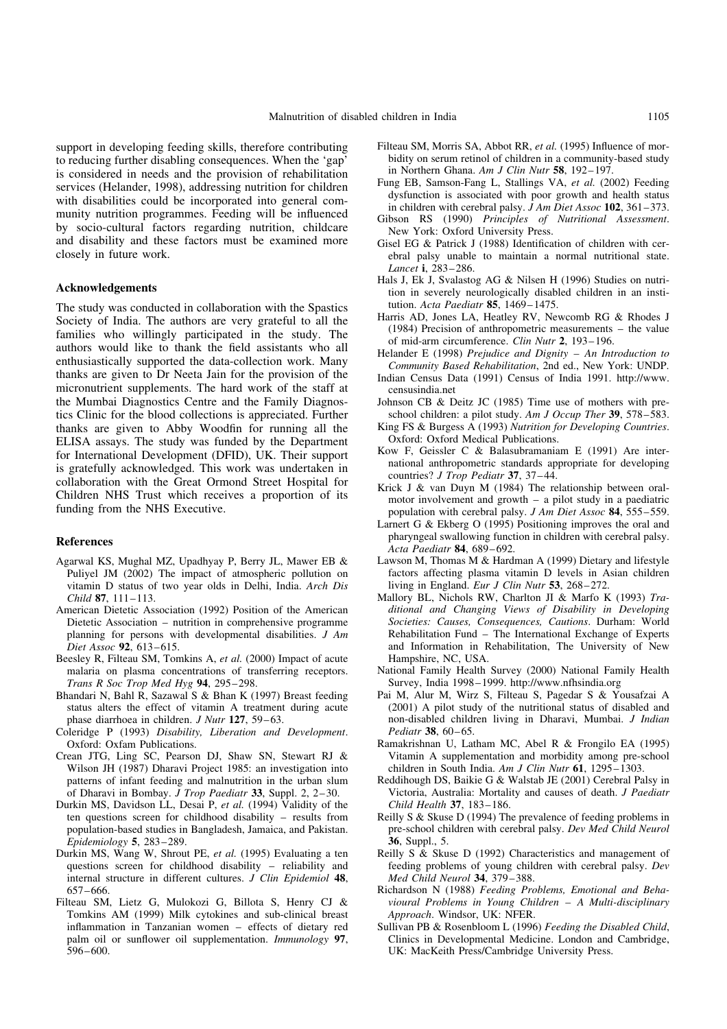support in developing feeding skills, therefore contributing to reducing further disabling consequences. When the 'gap' is considered in needs and the provision of rehabilitation services (Helander, 1998), addressing nutrition for children with disabilities could be incorporated into general community nutrition programmes. Feeding will be influenced by socio-cultural factors regarding nutrition, childcare and disability and these factors must be examined more closely in future work.

#### Acknowledgements

The study was conducted in collaboration with the Spastics Society of India. The authors are very grateful to all the families who willingly participated in the study. The authors would like to thank the field assistants who all enthusiastically supported the data-collection work. Many thanks are given to Dr Neeta Jain for the provision of the micronutrient supplements. The hard work of the staff at the Mumbai Diagnostics Centre and the Family Diagnostics Clinic for the blood collections is appreciated. Further thanks are given to Abby Woodfin for running all the ELISA assays. The study was funded by the Department for International Development (DFID), UK. Their support is gratefully acknowledged. This work was undertaken in collaboration with the Great Ormond Street Hospital for Children NHS Trust which receives a proportion of its funding from the NHS Executive.

#### References

- Agarwal KS, Mughal MZ, Upadhyay P, Berry JL, Mawer EB & Puliyel JM (2002) The impact of atmospheric pollution on vitamin D status of two year olds in Delhi, India. Arch Dis  $Child 87, 111–113.$
- American Dietetic Association (1992) Position of the American Dietetic Association – nutrition in comprehensive programme planning for persons with developmental disabilities. J Am Diet Assoc 92, 613–615.
- Beesley R, Filteau SM, Tomkins A, et al. (2000) Impact of acute malaria on plasma concentrations of transferring receptors. Trans R Soc Trop Med Hyg 94, 295–298.
- Bhandari N, Bahl R, Sazawal S & Bhan K (1997) Breast feeding status alters the effect of vitamin A treatment during acute phase diarrhoea in children. J Nutr 127, 59–63.
- Coleridge P (1993) Disability, Liberation and Development. Oxford: Oxfam Publications.
- Crean JTG, Ling SC, Pearson DJ, Shaw SN, Stewart RJ & Wilson JH (1987) Dharavi Project 1985: an investigation into patterns of infant feeding and malnutrition in the urban slum of Dharavi in Bombay. J Trop Paediatr 33, Suppl. 2, 2–30.
- Durkin MS, Davidson LL, Desai P, et al. (1994) Validity of the ten questions screen for childhood disability – results from population-based studies in Bangladesh, Jamaica, and Pakistan. Epidemiology 5, 283–289.
- Durkin MS, Wang W, Shrout PE, et al. (1995) Evaluating a ten questions screen for childhood disability – reliability and internal structure in different cultures. J Clin Epidemiol 48, 657–666.
- Filteau SM, Lietz G, Mulokozi G, Billota S, Henry CJ & Tomkins AM (1999) Milk cytokines and sub-clinical breast inflammation in Tanzanian women – effects of dietary red palm oil or sunflower oil supplementation. Immunology 97, 596–600.
- Filteau SM, Morris SA, Abbot RR, et al. (1995) Influence of morbidity on serum retinol of children in a community-based study in Northern Ghana. Am J Clin Nutr 58, 192–197.
- Fung EB, Samson-Fang L, Stallings VA, et al. (2002) Feeding dysfunction is associated with poor growth and health status in children with cerebral palsy. J Am Diet Assoc 102, 361–373.
- Gibson RS (1990) Principles of Nutritional Assessment. New York: Oxford University Press.
- Gisel EG & Patrick J (1988) Identification of children with cerebral palsy unable to maintain a normal nutritional state. Lancet i, 283–286.
- Hals J, Ek J, Svalastog AG & Nilsen H (1996) Studies on nutrition in severely neurologically disabled children in an institution. Acta Paediatr 85, 1469–1475.
- Harris AD, Jones LA, Heatley RV, Newcomb RG & Rhodes J (1984) Precision of anthropometric measurements – the value of mid-arm circumference. Clin Nutr 2, 193–196.
- Helander E (1998) Prejudice and Dignity An Introduction to Community Based Rehabilitation, 2nd ed., New York: UNDP.
- Indian Census Data (1991) Census of India 1991. http://www. censusindia.net
- Johnson CB & Deitz JC (1985) Time use of mothers with preschool children: a pilot study. Am J Occup Ther 39, 578–583.
- King FS & Burgess A (1993) Nutrition for Developing Countries. Oxford: Oxford Medical Publications.
- Kow F, Geissler C & Balasubramaniam E (1991) Are international anthropometric standards appropriate for developing countries? J Trop Pediatr 37, 37–44.
- Krick J & van Duyn M (1984) The relationship between oralmotor involvement and growth – a pilot study in a paediatric population with cerebral palsy. J Am Diet Assoc 84, 555-559.
- Larnert G & Ekberg O (1995) Positioning improves the oral and pharyngeal swallowing function in children with cerebral palsy. Acta Paediatr 84, 689–692.
- Lawson M, Thomas M & Hardman A (1999) Dietary and lifestyle factors affecting plasma vitamin D levels in Asian children living in England. Eur J Clin Nutr 53, 268–272.
- Mallory BL, Nichols RW, Charlton JI & Marfo K (1993) Traditional and Changing Views of Disability in Developing Societies: Causes, Consequences, Cautions. Durham: World Rehabilitation Fund – The International Exchange of Experts and Information in Rehabilitation, The University of New Hampshire, NC, USA.
- National Family Health Survey (2000) National Family Health Survey, India 1998–1999. http://www.nfhsindia.org
- Pai M, Alur M, Wirz S, Filteau S, Pagedar S & Yousafzai A (2001) A pilot study of the nutritional status of disabled and non-disabled children living in Dharavi, Mumbai. J Indian Pediatr 38, 60–65.
- Ramakrishnan U, Latham MC, Abel R & Frongilo EA (1995) Vitamin A supplementation and morbidity among pre-school children in South India. Am J Clin Nutr 61, 1295–1303.
- Reddihough DS, Baikie G & Walstab JE (2001) Cerebral Palsy in Victoria, Australia: Mortality and causes of death. J Paediatr Child Health 37, 183–186.
- Reilly S & Skuse D (1994) The prevalence of feeding problems in pre-school children with cerebral palsy. Dev Med Child Neurol 36, Suppl., 5.
- Reilly S & Skuse D (1992) Characteristics and management of feeding problems of young children with cerebral palsy. Dev Med Child Neurol 34, 379–388.
- Richardson N (1988) Feeding Problems, Emotional and Behavioural Problems in Young Children – A Multi-disciplinary Approach. Windsor, UK: NFER.
- Sullivan PB & Rosenbloom L (1996) Feeding the Disabled Child, Clinics in Developmental Medicine. London and Cambridge, UK: MacKeith Press/Cambridge University Press.